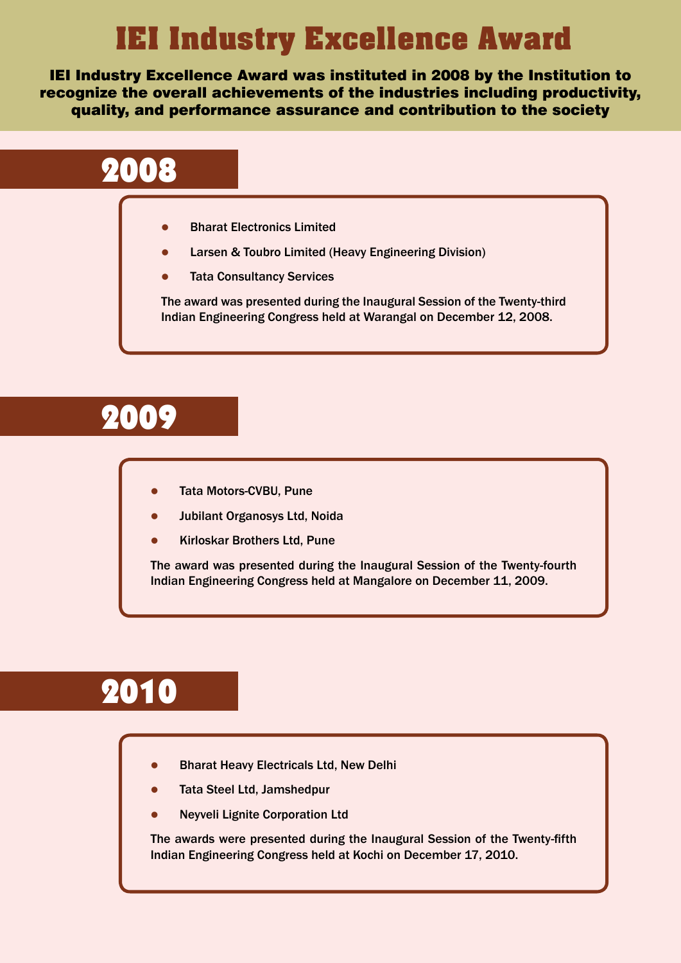## IEI Industry Excellence Award

## 2008

- **Bharat Electronics Limited**
- Larsen & Toubro Limited (Heavy Engineering Division)
- **Tata Consultancy Services**

## 2009



- Tata Motors-CVBU, Pune
- Jubilant Organosys Ltd, Noida
- l Kirloskar Brothers Ltd, Pune

The award was presented during the Inaugural Session of the Twenty-third Indian Engineering Congress held at Warangal on December 12, 2008.

- l Bharat Heavy Electricals Ltd, New Delhi
- **Tata Steel Ltd, Jamshedpur**
- **Neyveli Lignite Corporation Ltd**

The award was presented during the Inaugural Session of the Twenty-fourth Indian Engineering Congress held at Mangalore on December 11, 2009.

The awards were presented during the Inaugural Session of the Twenty-fifth Indian Engineering Congress held at Kochi on December 17, 2010.

IEI Industry Excellence Award was instituted in 2008 by the Institution to recognize the overall achievements of the industries including productivity, quality, and performance assurance and contribution to the society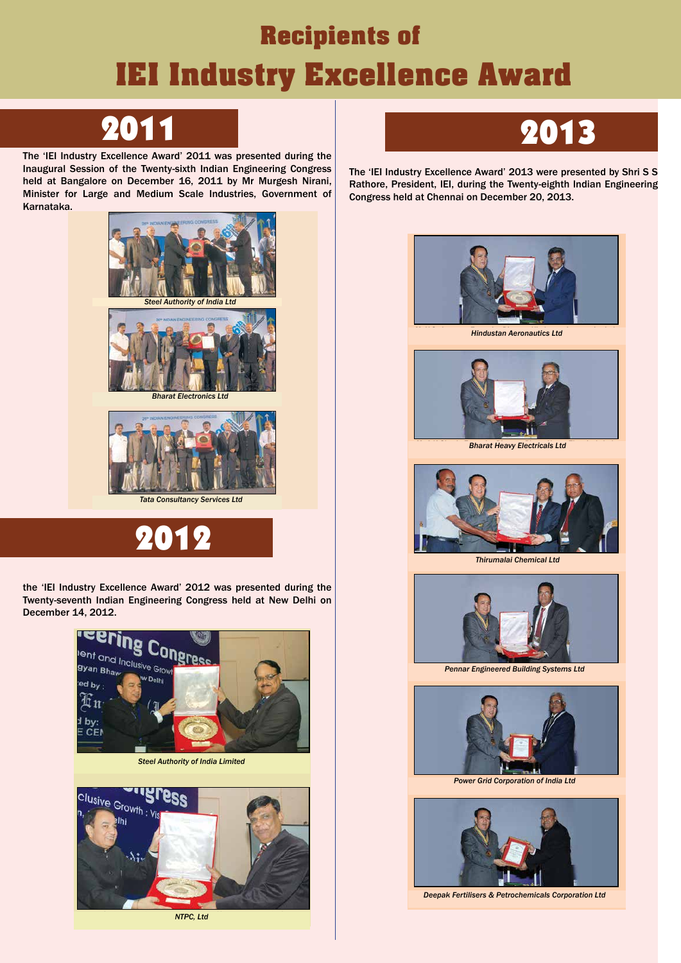# Recipients of IEI Industry Excellence Award

## 2011

2012 **Award 2012** IEI Industry Excellence Award was instituted by the Institution to recognize the overall achievements of the industries including productivity, quality, and performance assurance and contribution



**Tata Consultancy Services Ltd, receiving the award**



 $H_{\text{W}}$  Evoollanga Award<sup>,</sup> 2012 ware precepted by  $\theta$ The 'IEI Industry Excellence Award' 2013 were presented by Shri S S Rathore, President, IEI, during the Twenty-eighth Indian Engineering  $\mathbb{R}$  for the  $\mathbb{R}$  for the  $\mathbb{R}$  for the  $\mathbb{R}$  namely,  $\mathbb{R}$  and  $\mathbb{R}$  and  $\mathbb{R}$  and  $\mathbb{R}$  and  $\mathbb{R}$  and  $\mathbb{R}$  and  $\mathbb{R}$  and  $\mathbb{R}$  and  $\mathbb{R}$  and  $\mathbb{R}$  and  $\mathbb{R}$  and  $\mathbb{R}$  a Congress held at Chennai on December 20, 2013.



**Mr A K Ghosh, Bharat Heavy Electricals Ltd.,**  $\blacksquare$  **Bharat Heavy Electricals Ltd.,**  $\blacksquare$  **Bharat Heavy Electricals Ltd.,**  $\blacksquare$  **Bharat Heavy Electricals Ltd.,**  $\blacksquare$ **receiving the Award**



**Mr P M C Nair, President, Thirumalai Chemical Ltd.,**  $\mathbf{r}$  **and**  $\mathbf{r}$  **and**  $\mathbf{r}$  **and**  $\mathbf{r}$  **and**  $\mathbf{r}$  **and**  $\mathbf{r}$  **are**  $\mathbf{r}$  **and**  $\mathbf{r}$  **and**  $\mathbf{r}$  **are**  $\mathbf{r}$  **and**  $\mathbf{r}$  **are**  $\mathbf{r}$  **and**  $\mathbf{r}$  **are** 



**Pennar Engineered Building Systems Ltd Pennar Engineered Building Systems Ltd., receiving the Award**



**Power Grid Corporation of India Ltd** 



*Deepak Fertilisers & Petrochemicals Corporation Ltd* 

The 'IEI Industry Excellence Award' 2011 was presented during the Seccion of the Twenty civib Indian Engineering Congr Inaugural Session of the Twenty-sixth Indian Engineering Congress angalore on December 16, 2011 by Mr Murgesh Nirs held at Bangalore on December 16, 2011 by Mr Murgesh Nirani, or Large and Medium Scale Industries. Government Minister for Large and Medium Scale Industries, Government of for Large and Medium Scale Industries, Government of Karnataka. Karnataka.

the 'IEI Industry Excellence Award' 2012 was presented during the ,<br>Ath Indian Engineering Cengrose held at New Delk Twenty-seventh Indian Engineering Congress held at New Delhi Twenty-seventh Indian Engineering Congress held at New Delhi on on December 14, 2012. December 14, 2012.



**Mr V Sadagopan, Executive Director, Hindustan Aeronautics Ltd.,**  $\frac{1}{2}$ **receiving the Award** *Hindustan Aeronautics Ltd*





**Manat Electronics Ltd** 

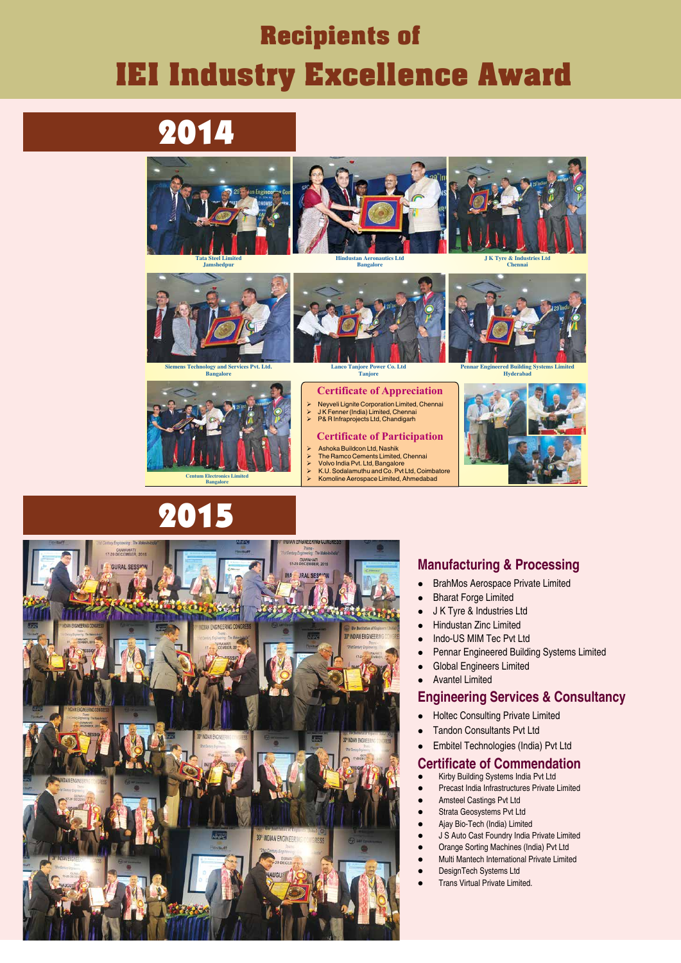## Recipients of IEI Industry Excellence Award

### 2014 IEI Industry Excellence Award 2014



### 2015 IEI Industry Excellence Award 2015

Snippets of Presentation of Presentation of Presentation of Presentation of Presentation of Presentation of Presentation of Presentation of Presentation of Presentation of Presentation of Presentation of Presentation of Pr



- Ø Neyveli Lignite Corporation Limited, Chennai
- Ø J K Fenner (India) Limited, Chennai P& R Infraprojects Ltd, Chandigarh
- 

### **Certificate of Participation**

**Tata Steel Limited Jamshedpur**





**Siemens Technology and Services Pvt. Ltd.**





#### **Certificate of Appreciation**

- Ø Ashoka Buildcon Ltd, Nashik **10th Indian Engineering Congress Congress Congress Limited, Chennai** 
	-
	- $\triangleright$  Volvo India Pvt. Ltd, Bangalore<br> $\triangleright$  K.U. Sodalamuthu and Co. Pvt I
	- $\triangleright$  K.U. Sodalamuthu and Co. Pvt Ltd, Coimbatore<br>  $\triangleright$  Komoline Aerospace Limited, Ahmedabad Ø Komoline Aerospace Limited, Ahmedabad





**Lanco Tanjore Power Co. Ltd Tanjore**

**Centum Electronics Limited Bangalore**

**J K Tyre & Industries Ltd Chennai**



**Hindustan Aeronautics Ltd Bangalore**

#### **Manufacturing & Processing**

- **BrahMos Aerospace Private Limited**
- Bharat Forge Limited
- J K Tyre & Industries Ltd
- **.** Hindustan Zinc Limited
- Indo-US MIM Tec Pvt Ltd
- **Pennar Engineered Building Systems Limited**
- **.** Global Engineers Limited
- Avantel Limited

#### **Engineering Services & Consultancy**

- Holtec Consulting Private Limited
- 
- **Tandon Consultants Pvt Ltd**
- **•** Embitel Technologies (India) Pvt Ltd

#### **Certificate of Commendation**

- **•** Kirby Building Systems India Pvt Ltd
- Precast India Infrastructures Private Limited
- **Amsteel Castings Pvt Ltd**
- Strata Geosystems Pvt Ltd
- **.** Ajay Bio-Tech (India) Limited
- **.** J S Auto Cast Foundry India Private Limited
- **•** Orange Sorting Machines (India) Pvt Ltd
- l Multi Mantech International Private Limited
- DesignTech Systems Ltd
- **Trans Virtual Private Limited.**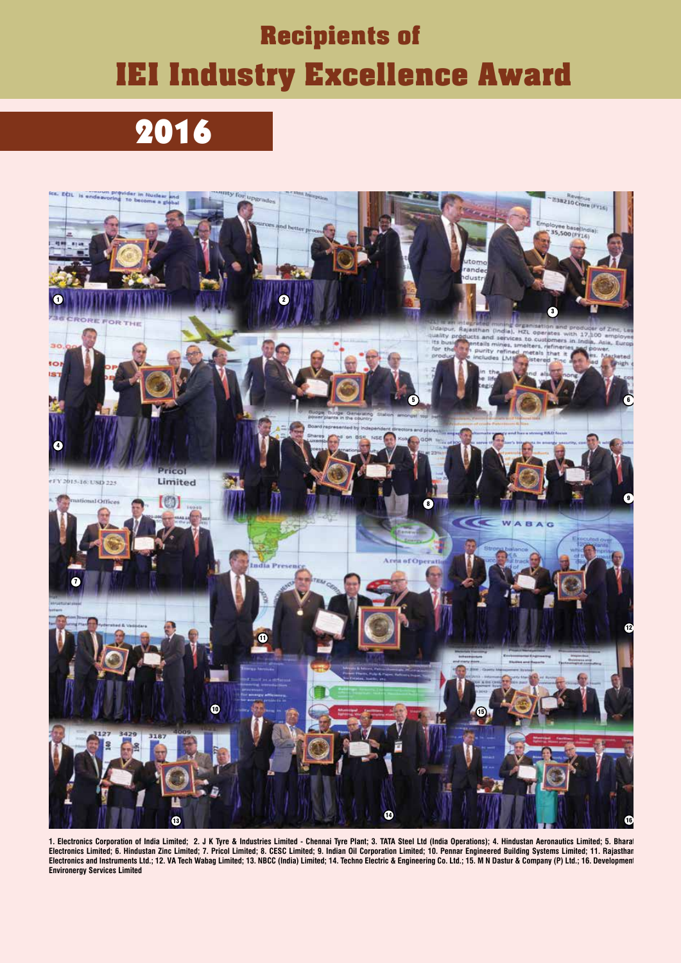### Recipients of IEI Industry Excellence Award  $\frac{1}{3}$  =  $\frac{1}{3}$  construction  $\frac{1}{3}$  congress,  $\frac{1}{3}$

**1. Electronics Corporation of India Limited; 2. J K Tyre & Industries Limited - Chennai Tyre Plant; 3. TATA Steel Ltd (India Operations); 4. Hindustan Aeronautics Limited; 5. Bharat Electronics Limited; 6. Hindustan Zinc Limited; 7. Pricol Limited; 8. CESC Limited; 9. Indian Oil Corporation Limited; 10. Pennar Engineered Building Systems Limited; 11. Rajasthan Electronics and Instruments Ltd.; 12. VA Tech Wabag Limited; 13. NBCC (India) Limited; 14. Techno Electric & Engineering Co. Ltd.; 15. M N Dastur & Company (P) Ltd.; 16. Development Environergy Services Limited**